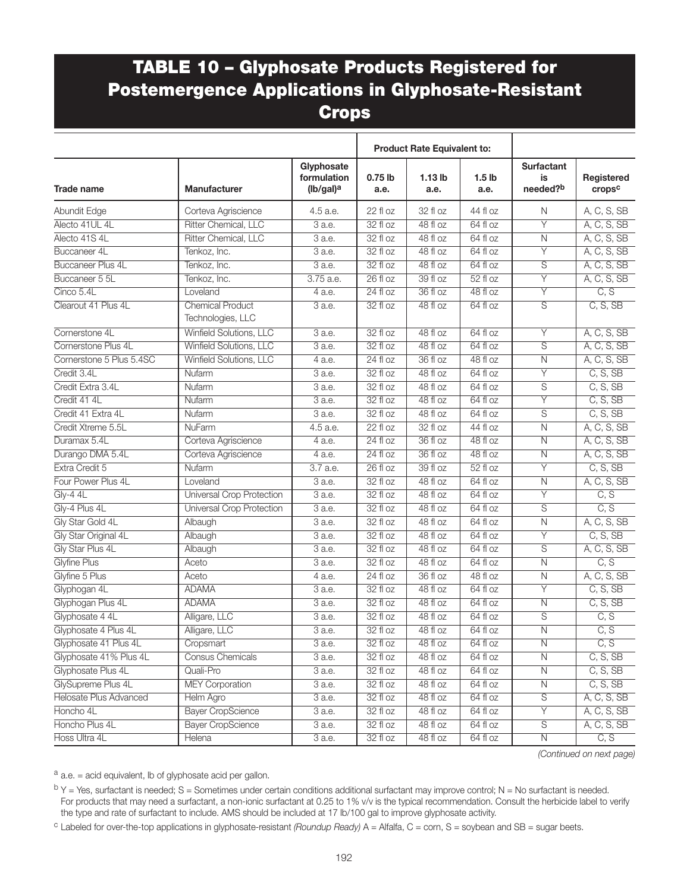## TABLE 10 – Glyphosate Products Registered for Postemergence Applications in Glyphosate-Resistant **Crops**

|                               |                                              | <b>Product Rate Equivalent to:</b>                 |                   |                   |                           |                                     |                      |
|-------------------------------|----------------------------------------------|----------------------------------------------------|-------------------|-------------------|---------------------------|-------------------------------------|----------------------|
| <b>Trade name</b>             | <b>Manufacturer</b>                          | Glyphosate<br>formulation<br>(lb/gal) <sup>a</sup> | $0.75$ lb<br>a.e. | $1.13$ lb<br>a.e. | 1.5 <sub>lb</sub><br>a.e. | <b>Surfactant</b><br>is<br>needed?b | Registered<br>cropsc |
| Abundit Edge                  | Corteva Agriscience                          | 4.5 a.e.                                           | 22 fl oz          | 32 fl oz          | 44 fl oz                  | N                                   | A, C, S, SB          |
| Alecto 41UL 4L                | Ritter Chemical, LLC                         | $\overline{3}$ a.e.                                | 32 fl oz          | 48 fl oz          | 64 fl oz                  | Ÿ                                   | A, C, S, SB          |
| Alecto 41S 4L                 | Ritter Chemical, LLC                         | $\overline{3}$ a.e.                                | 32 fl oz          | 48 fl oz          | 64 fl oz                  | $\mathsf{N}$                        | A, C, S, SB          |
| Buccaneer 4L                  | Tenkoz, Inc.                                 | 3 a.e.                                             | 32 fl oz          | $48f$ loz         | $64f$ loz                 | $\overline{Y}$                      | A, C, S, SB          |
| <b>Buccaneer Plus 4L</b>      | Tenkoz, Inc.                                 | 3 a.e.                                             | $32f$ loz         | 48 fl oz          | 64 fl oz                  | S                                   | A, C, S, SB          |
| Buccaneer 5 5L                | Tenkoz, Inc.                                 | 3.75 a.e.                                          | $26f$ loz         | 39 fl oz          | $52f$ loz                 | $\overline{Y}$                      | A, C, S, SB          |
| Cinco 5.4L                    | Loveland                                     | 4 a.e.                                             | 24 fl oz          | 36 fl oz          | $48f$ loz                 | $\overline{Y}$                      | $\overline{C, S}$    |
| Clearout 41 Plus 4L           | <b>Chemical Product</b><br>Technologies, LLC | 3 a.e.                                             | 32 fl oz          | 48 fl oz          | 64 fl oz                  | S                                   | C, S, SB             |
| Cornerstone 4L                | Winfield Solutions, LLC                      | $3$ a.e.                                           | 32 fl oz          | 48 fl oz          | 64 fl oz                  | Υ                                   | A, C, S, SB          |
| Cornerstone Plus 4L           | Winfield Solutions, LLC                      | 3 a.e.                                             | 32 fl oz          | 48 fl oz          | 64 fl oz                  | S                                   | A, C, S, SB          |
| Cornerstone 5 Plus 5.4SC      | <b>Winfield Solutions, LLC</b>               | 4 a.e.                                             | $24f$ loz         | 36 fl oz          | $48f$ loz                 | $\overline{N}$                      | A, C, S, SB          |
| Credit 3.4L                   | Nufarm                                       | 3 a.e.                                             | 32 fl oz          | $48f$ loz         | 64 fl oz                  | Ÿ                                   | C, S, SB             |
| Credit Extra 3.4L             | Nufarm                                       | 3 a.e.                                             | 32 fl oz          | 48 fl oz          | 64 fl oz                  | S                                   | C, S, SB             |
| Credit 41 4L                  | Nufarm                                       | 3 a.e.                                             | 32 fl oz          | 48 fl oz          | $64f$ loz                 | Ÿ                                   | C, S, SB             |
| Credit 41 Extra 4L            | Nufarm                                       | 3 a.e.                                             | 32 fl oz          | 48 fl oz          | 64 fl oz                  | S                                   | C, S, SB             |
| Credit Xtreme 5.5L            | <b>NuFarm</b>                                | 4.5 a.e.                                           | 22 fl oz          | 32 fl oz          | 44 fl oz                  | $\mathsf{N}$                        | A, C, S, SB          |
| Duramax 5.4L                  | Corteva Agriscience                          | 4 a.e.                                             | $24f$ loz         | 36 fl oz          | 48 fl oz                  | $\overline{N}$                      | A, C, S, SB          |
| Durango DMA 5.4L              | Corteva Agriscience                          | 4 a.e.                                             | $24f$ loz         | $36f$ oz          | $48f$ loz                 | $\overline{\mathsf{N}}$             | A, C, S, SB          |
| Extra Credit 5                | Nufarm                                       | 3.7 a.e.                                           | $26f$ loz         | 39 fl oz          | 52 fl oz                  | Ÿ                                   | C, S, SB             |
| Four Power Plus 4L            | Loveland                                     | $3$ a.e.                                           | $32f$ loz         | $48f$ loz         | $64f$ oz                  | $\overline{N}$                      | A, C, S, SB          |
| $Gly-44L$                     | <b>Universal Crop Protection</b>             | 3 a.e.                                             | 32 fl oz          | 48 fl oz          | 64 fl oz                  | Ÿ                                   | $\overline{C, S}$    |
| Gly-4 Plus 4L                 | Universal Crop Protection                    | 3 a.e.                                             | 32 fl oz          | 48 fl oz          | 64 fl oz                  | S                                   | C, S                 |
| Gly Star Gold 4L              | Albaugh                                      | $\overline{3}$ a.e.                                | 32 fl oz          | 48 fl oz          | $64f$ loz                 | $\mathsf{N}$                        | A, C, S, SB          |
| Gly Star Original 4L          | Albaugh                                      | 3 a.e.                                             | 32 fl oz          | 48 fl oz          | 64 fl oz                  | $\overline{Y}$                      | C, S, SB             |
| <b>Gly Star Plus 4L</b>       | Albaugh                                      | 3 a.e.                                             | 32 fl oz          | 48 fl oz          | $64f$ loz                 | S                                   | A, C, S, SB          |
| <b>Glyfine Plus</b>           | Aceto                                        | 3 a.e.                                             | 32 fl oz          | 48 fl oz          | 64 fl oz                  | $\overline{N}$                      | $\overline{C, S}$    |
| Glyfine 5 Plus                | Aceto                                        | 4 a.e.                                             | 24 fl oz          | 36 fl oz          | 48 fl oz                  | $\mathsf{N}$                        | A, C, S, SB          |
| Glyphogan 4L                  | <b>ADAMA</b>                                 | 3 a.e.                                             | 32 fl oz          | 48 fl oz          | 64 fl oz                  | Y                                   | C, S, SB             |
| Glyphogan Plus 4L             | <b>ADAMA</b>                                 | 3 a.e.                                             | 32 fl oz          | 48 fl oz          | 64 fl oz                  | $\overline{N}$                      | C, S, SB             |
| Glyphosate 4 4L               | Alligare, LLC                                | 3 a.e.                                             | 32 fl oz          | 48 fl oz          | 64 fl oz                  | S                                   | $\overline{C, S}$    |
| Glyphosate 4 Plus 4L          | Alligare, LLC                                | 3 a.e.                                             | 32 fl oz          | 48 fl oz          | $64f$ loz                 | $\overline{N}$                      | C, S                 |
| Glyphosate 41 Plus 4L         | Cropsmart                                    | $3$ a.e.                                           | $32f$ loz         | 48 fl oz          | $64f$ loz                 | $\overline{N}$                      | C, S                 |
| Glyphosate 41% Plus 4L        | Consus Chemicals                             | $\overline{3}$ a.e.                                | 32 fl oz          | 48 fl oz          | 64 fl oz                  | $\overline{N}$                      | C, S, SB             |
| Glyphosate Plus 4L            | Quali-Pro                                    | 3 a.e.                                             | 32 fl oz          | 48 fl oz          | 64 fl oz                  | $\overline{N}$                      | C, S, SB             |
| GlySupreme Plus 4L            | <b>MEY Corporation</b>                       | 3 a.e.                                             | $32f$ loz         | 48 fl oz          | 64 fl oz                  | $\overline{N}$                      | C, S, SB             |
| <b>Helosate Plus Advanced</b> | Helm Agro                                    | $3$ a.e.                                           | 32 fl oz          | $48f$ loz         | 64 fl oz                  | $\overline{S}$                      | A, C, S, SB          |
| Honcho 4L                     | <b>Bayer CropScience</b>                     | 3 a.e.                                             | 32 fl oz          | 48 fl oz          | 64 fl oz                  | $\overline{Y}$                      | A, C, S, SB          |
| Honcho Plus 4L                | <b>Bayer CropScience</b>                     | 3 a.e.                                             | $32f$ loz         | 48 fl oz          | 64 fl oz                  | $\overline{\mathsf{S}}$             | A, C, S, SB          |
| Hoss Ultra 4L                 | Helena                                       | 3 a.e.                                             | $32f$ loz         | 48 fl oz          | 64 fl oz                  | $\overline{N}$                      | C, S                 |

*(Continued on next page)*

 $a$  a.e. = acid equivalent, lb of glyphosate acid per gallon.

 $b$  Y = Yes, surfactant is needed; S = Sometimes under certain conditions additional surfactant may improve control; N = No surfactant is needed. For products that may need a surfactant, a non-ionic surfactant at 0.25 to 1% v/v is the typical recommendation. Consult the herbicide label to verify the type and rate of surfactant to include. AMS should be included at 17 lb/100 gal to improve glyphosate activity.

<sup>c</sup> Labeled for over-the-top applications in glyphosate-resistant (Roundup Ready) A = Alfalfa, C = corn, S = soybean and SB = sugar beets.